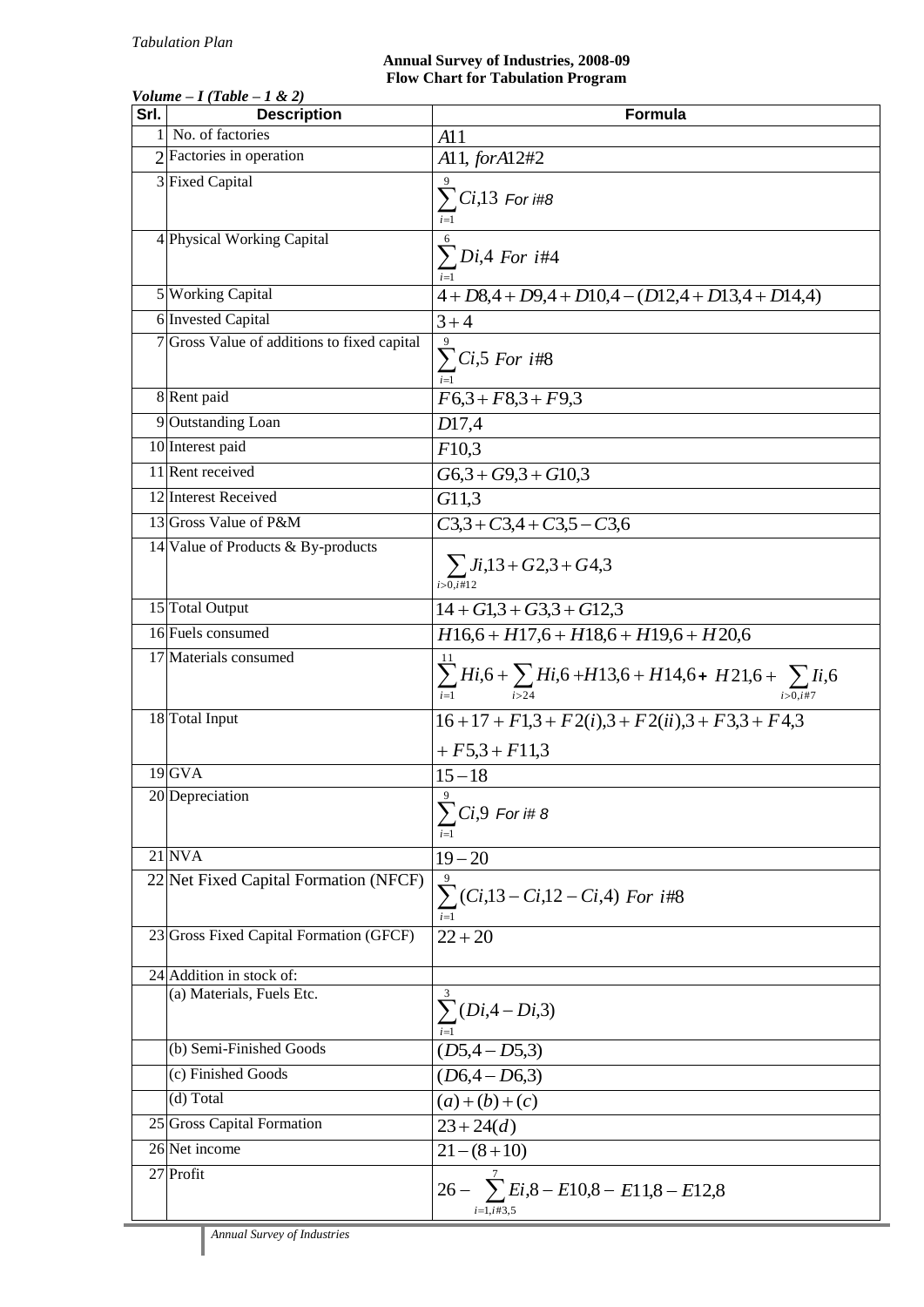## **Annual Survey of Industries, 2008-09 Flow Chart for Tabulation Program**

| , viunic<br>Srl. | $11$ uvu<br>$1 \times 27$<br><b>Description</b>       | Formula                                                                                                                    |
|------------------|-------------------------------------------------------|----------------------------------------------------------------------------------------------------------------------------|
|                  | 1 No. of factories                                    | A11                                                                                                                        |
|                  | $2$ Factories in operation                            | A11, forA12#2                                                                                                              |
|                  | 3 Fixed Capital                                       | $\sum Ci$ ,13 For i#8                                                                                                      |
|                  | 4 Physical Working Capital                            | $\sum Di,4$ For i#4                                                                                                        |
|                  | 5 Working Capital                                     | $4 + D8,4 + D9,4 + D10,4 - (D12,4 + D13,4 + D14,4)$                                                                        |
|                  | 6 Invested Capital                                    | $3 + 4$                                                                                                                    |
|                  | 7 Gross Value of additions to fixed capital           | $\sum C_i$ ,5 For i#8                                                                                                      |
|                  | 8 Rent paid                                           | $F6,3 + F8,3 + F9,3$                                                                                                       |
|                  | 9 Outstanding Loan                                    | D17,4                                                                                                                      |
|                  | 10 Interest paid                                      | F10,3                                                                                                                      |
|                  | 11 Rent received                                      | $G6,3+G9,3+G10,3$                                                                                                          |
|                  | 12 Interest Received                                  | G11,3                                                                                                                      |
|                  | 13 Gross Value of P&M                                 | $C3,3 + C3,4 + C3,5 - C3,6$                                                                                                |
|                  | 14 Value of Products & By-products                    | $\sum Ji, 13 + G2, 3 + G4, 3$<br>$i > 0, i \# 12$                                                                          |
|                  | 15 Total Output                                       | $14 + G1,3 + G3,3 + G12,3$                                                                                                 |
|                  | 16 Fuels consumed                                     | $H16,6 + H17,6 + H18,6 + H19,6 + H20,6$                                                                                    |
|                  | 17 Materials consumed                                 | $\sum_{i>0,i\neq 7}^{11} Hi_{i,6} + \sum_{i>4} Hi_{i,6} + H13_{i,6} + H14_{i,6} + H21_{i,6} + \sum_{i>0,i\neq 7} Ii_{i,6}$ |
|                  | 18 Total Input                                        | $16+17+F1,3+F2(i),3+F2(ii),3+F3,3+F4,3$<br>$+F5,3+F11,3$                                                                   |
|                  | $19$ <sub>GVA</sub>                                   | $15 - 18$                                                                                                                  |
|                  | 20 Depreciation                                       | $\Omega$<br>$\sum Ci,9$ For i# 8                                                                                           |
|                  | $21$ NVA                                              | $19 - 20$                                                                                                                  |
|                  | 22 Net Fixed Capital Formation (NFCF)                 | $\sum (Ci, 13 - Ci, 12 - Ci, 4)$ For i#8                                                                                   |
|                  | 23 Gross Fixed Capital Formation (GFCF)               | $22 + 20$                                                                                                                  |
|                  |                                                       |                                                                                                                            |
|                  | 24 Addition in stock of:<br>(a) Materials, Fuels Etc. |                                                                                                                            |
|                  |                                                       | $\sum (Di, 4-Di, 3)$                                                                                                       |
|                  | (b) Semi-Finished Goods                               | $(D5,4-D5,3)$                                                                                                              |
|                  | (c) Finished Goods                                    | $(D6,4-D6,3)$                                                                                                              |
|                  | (d) Total                                             | $(a)+(b)+(c)$                                                                                                              |
|                  | 25 Gross Capital Formation                            | $23 + 24(d)$                                                                                                               |
|                  | 26 Net income                                         | $21 - (8 + 10)$                                                                                                            |
|                  | $\overline{27}$ Profit                                | 26 - $\sum E_i$ ,8 - E10,8 - E11,8 - E12,8<br>$i=1, i \# 3, 5$                                                             |
|                  |                                                       |                                                                                                                            |

## *Volume – I (Table – 1 & 2)*